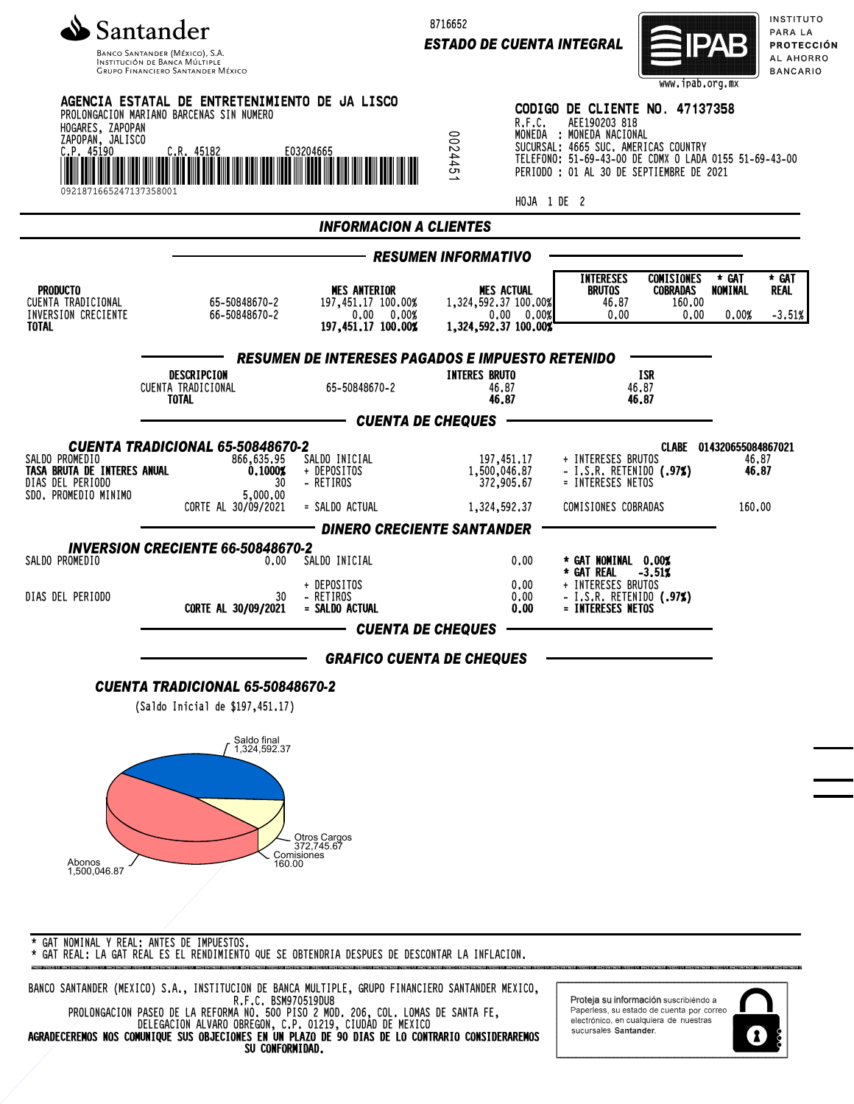

Banco Santander (México), S.A.<br>Institución de Banca Múltiple<br>Grupo Financiero Santander México

8716652

*ESTADO DE CUENTA INTEGRAL*



INSTITUTO PARA LA **PROTECCIÓN** AL AHORRO **BANCARIO** 

| HOGARES, ZAPOPAN<br>ZAPOPAN, JALISCO<br>C.P. 45190                           | AGENCIA ESTATAL DE ENTRETENIMIENTO DE JA LISCO<br>PROLONGACION MARIANO BARCENAS SIN NUMERO<br>WWW. W. 45182 | E03204665                                                                     | R.F.C.<br>2445<br>∸<br>HOJA 1 DE 2                                              | CODIGO DE CLIENTE NO. 47137358<br>AEE190203 818<br>MONEDA : MONEDA NACIONAL<br>SUCURSAL: 4665 SUC. AMERICAS COUNTRY<br>TELEFONO: 51-69-43-00 DE CDMX O LADA 0155 51-69-43-00<br>PERIODO : 01 AL 30 DE SEPTIEMBRE DE 2021 |                                                               |  |  |
|------------------------------------------------------------------------------|-------------------------------------------------------------------------------------------------------------|-------------------------------------------------------------------------------|---------------------------------------------------------------------------------|--------------------------------------------------------------------------------------------------------------------------------------------------------------------------------------------------------------------------|---------------------------------------------------------------|--|--|
|                                                                              |                                                                                                             | <b>INFORMACION A CLIENTES</b>                                                 |                                                                                 |                                                                                                                                                                                                                          |                                                               |  |  |
|                                                                              |                                                                                                             |                                                                               | <b>RESUMEN INFORMATIVO</b>                                                      |                                                                                                                                                                                                                          |                                                               |  |  |
| <b>PRODUCTO</b><br>CUENTA TRADICIONAL<br>INVERSION CRECIENTE<br><b>TOTAL</b> | 65-50848670-2<br>66-50848670-2                                                                              | <b>MES ANTERIOR</b><br>197,451.17 100.00%<br>0.00 0.00%<br>197,451.17 100.00% | <b>MES ACTUAL</b><br>1,324,592,37 100,00%<br>0.00 0.00%<br>1,324,592.37 100.00% | <b>INTERESES</b><br><b>COMISIONES</b><br><b>BRUTOS</b><br><b>COBRADAS</b><br>46.87<br>160.00<br>0.00<br>0.00                                                                                                             | * GAT<br>* GAT<br><b>REAL</b><br>NOMINAL<br>0.00%<br>$-3.51%$ |  |  |
|                                                                              | <b>RESUMEN DE INTERESES PAGADOS E IMPUESTO RETENIDO</b>                                                     |                                                                               |                                                                                 |                                                                                                                                                                                                                          |                                                               |  |  |
|                                                                              | DESCRIPCION<br>CUENTA TRADICIONAL<br><b>TOTAL</b>                                                           | 65-50848670-2                                                                 | <b>INTERES BRUTO</b><br>46.87<br>46.87                                          | ISR<br>46.87<br>46.87                                                                                                                                                                                                    |                                                               |  |  |
|                                                                              |                                                                                                             | — CUENTA DE CHEQUES                                                           |                                                                                 |                                                                                                                                                                                                                          |                                                               |  |  |
| SALDO PROMEDIO<br>TASA BRUTA DE INTERES ANUAL<br>DIAS DEL PERIODO            | CUENTA TRADICIONAL 65-50848670-2<br>866,635.95<br>0.10002<br>30                                             | SALDO INICIAL<br>+ DEPOSITOS<br>- RETIROS                                     | 197,451.17<br>1,500,046.87<br>372,905.67                                        | + INTERESES BRUTOS<br>- I.S.R. RETENIDO $(.97%)$<br>= INTERESES NETOS                                                                                                                                                    | CLABE 014320655084867021<br>46.87<br>46,87                    |  |  |
| SDO. PROMEDIO MINIMO                                                         | 5,000.00<br>CORTE AL 30/09/2021                                                                             | = SALDO ACTUAL                                                                | 1,324,592.37                                                                    | COMISIONES COBRADAS                                                                                                                                                                                                      | 160.00                                                        |  |  |
|                                                                              | <b>INVERSION CRECIENTE 66-50848670-2</b>                                                                    | <b>DINERO CRECIENTE SANTANDER</b>                                             |                                                                                 |                                                                                                                                                                                                                          |                                                               |  |  |
| SALDO PROMEDIO                                                               | 0.00                                                                                                        | SALDO INICIAL                                                                 | 0.00                                                                            | * GAT NOMINAL 0.00%<br>* GAT REAL<br>$-3.51%$                                                                                                                                                                            |                                                               |  |  |
| DIAS DEL PERIODO                                                             | 30<br>CORTE AL 30/09/2021                                                                                   | + DEPOSITOS<br>- RETIROS<br>= SALDO ACTUAL                                    | 0.00<br>0.00<br>0.00                                                            | + INTERESES BRUTOS<br>- I.S.R. RETENIDO (.97%)<br>= INTERESES NETOS                                                                                                                                                      |                                                               |  |  |
|                                                                              | <b>CUENTA DE CHEQUES</b>                                                                                    |                                                                               |                                                                                 |                                                                                                                                                                                                                          |                                                               |  |  |
|                                                                              |                                                                                                             | <b>GRAFICO CUENTA DE CHEQUES</b>                                              |                                                                                 |                                                                                                                                                                                                                          |                                                               |  |  |
|                                                                              | <b>CUENTA TRADICIONAL 65-50848670-2</b><br>(Saldo Inicial de \$197,451.17)                                  |                                                                               |                                                                                 |                                                                                                                                                                                                                          |                                                               |  |  |
|                                                                              | Saldo final<br>1,324,592.37                                                                                 |                                                                               |                                                                                 |                                                                                                                                                                                                                          |                                                               |  |  |
| Abonos                                                                       | 160.00                                                                                                      | Otros Cargos<br>372,745.67<br>Comisiones                                      |                                                                                 |                                                                                                                                                                                                                          |                                                               |  |  |
| 1.500.046.87<br>* GAT NOMINAL Y REAL: ANTES DE IMPUESTOS.                    |                                                                                                             |                                                                               |                                                                                 |                                                                                                                                                                                                                          |                                                               |  |  |

\* GAT REAL: LA GAT REAL ES EL RENDIMIENTO QUE SE OBTENDRIA DESPUES DE DESCONTAR LA INFLACION.

BANCO SANTANDER (MEXICO) S.A., INSTITUCION DE BANCA MULTIPLE, GRUPO FINANCIERO SANTANDER MEXICO, R.F.C. BSM970519DU8 PROLONGACION PASEO DE LA REFORMA NO. 500 PISO 2 MOD. 206, COL. LOMAS DE SANTA FE, DELEGACION ALVARO OBREGON, C.P. 01219, CIUDAD DE MEXICO

AGRADECEREMOS NOS COMUNIQUE SUS OBJECIONES EN UN PLAZO DE 90 DIAS DE LO CONTRARIO CONSIDERAREMOS SU CONFORMIDAD.

Proteja su información suscribiendo a Paperless, su estado de cuenta por correo<br>electrónico, en cualquiera de nuestras sucursales Santander.

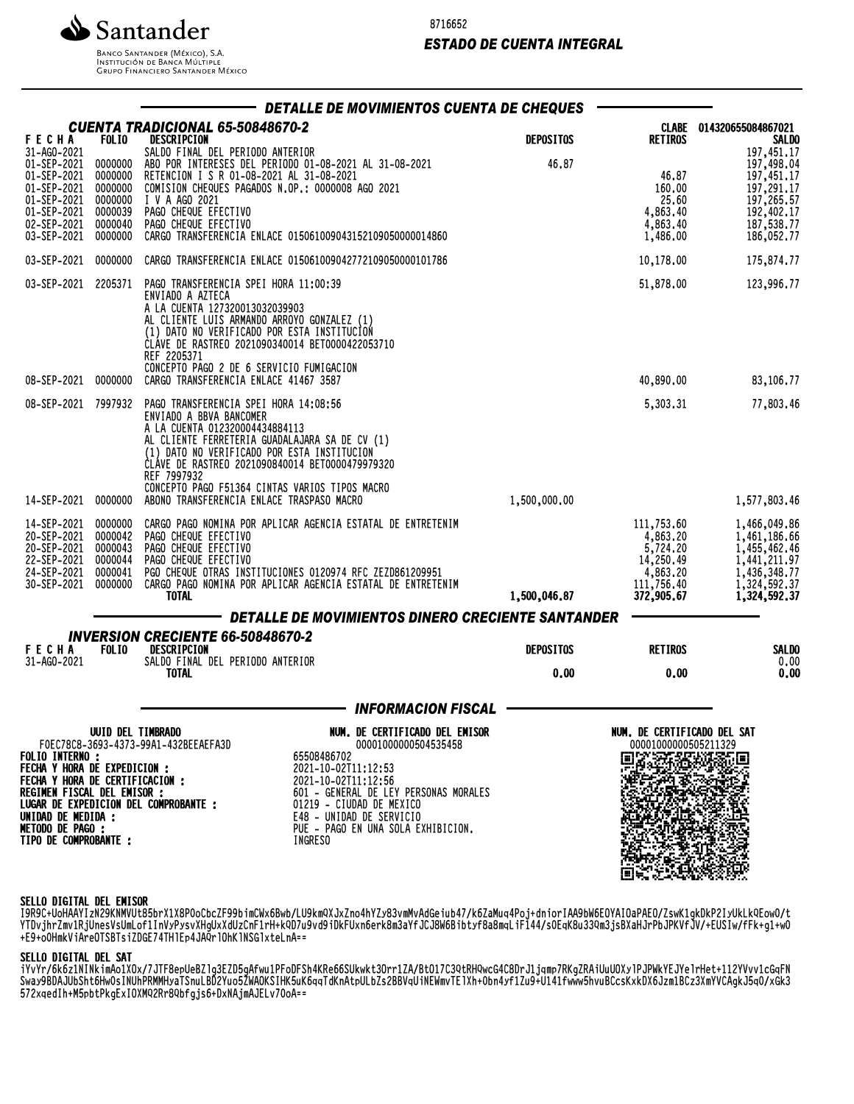

8716652

# *ESTADO DE CUENTA INTEGRAL*

INSTITUCIÓN DE BANCA MÚLTIPLE<br>INSTITUCIÓN DE BANCA MÚLTIPLE<br>GRUPO FINANCIERO SANTANDER MÉXICO

|                                                                                                                                                                                                         |                                                                           | DETALLE DE MOVIMIENTOS CUENTA DE CHEQUES                                                                                                                                                                                                                                                                                                               |                  |                                                                                         |                                                                                                              |
|---------------------------------------------------------------------------------------------------------------------------------------------------------------------------------------------------------|---------------------------------------------------------------------------|--------------------------------------------------------------------------------------------------------------------------------------------------------------------------------------------------------------------------------------------------------------------------------------------------------------------------------------------------------|------------------|-----------------------------------------------------------------------------------------|--------------------------------------------------------------------------------------------------------------|
| <b>FECHA</b>                                                                                                                                                                                            | <b>FOLIO</b>                                                              | CUENTA TRADICIONAL 65-50848670-2<br>DESCRIPCION                                                                                                                                                                                                                                                                                                        | <b>DEPOSITOS</b> | <b>CLABE</b><br><b>RETIROS</b>                                                          | 014320655084867021<br><b>SALDO</b>                                                                           |
| 31-AG0-2021<br>01-SEP-2021<br>01-SEP-2021<br>01-SEP-2021<br>01-SEP-2021<br>01-SEP-2021<br>02-SEP-2021<br>03-SEP-2021                                                                                    | 0000000<br>0000000<br>0000000<br>0000000<br>0000039<br>0000040<br>0000000 | SALDO FINAL DEL PERIODO ANTERIOR<br>ABO POR INTERESES DEL PERIODO 01-08-2021 AL 31-08-2021<br>RETENCION I S R 01-08-2021 AL 31-08-2021<br>COMISION CHEQUES PAGADOS N.OP.: 0000008 AGO 2021<br>I V A AGO 2021<br>PAGO CHEQUE EFECTIVO<br>PAGO CHEQUE EFECTIVO<br>CARGO TRANSFERENCIA ENLACE 015061009043152109050000014860                              | 46.87            | 46.87<br>160.00<br>25.60<br>4,863.40<br>4,863.40<br>1,486.00                            | 197,451.17<br>197,498.04<br>197,451.17<br>197,291.17<br>197,265.57<br>192,402.17<br>187,538.77<br>186,052.77 |
| 03-SEP-2021                                                                                                                                                                                             | 0000000                                                                   | CARGO TRANSFERENCIA ENLACE 015061009042772109050000101786                                                                                                                                                                                                                                                                                              |                  | 10,178.00                                                                               | 175,874.77                                                                                                   |
| 03-SEP-2021                                                                                                                                                                                             | 2205371                                                                   | PAGO TRANSFERENCIA SPEI HORA 11:00:39<br>ENVIADO A AZTECA<br>A LA CUENTA 127320013032039903<br>AL CLIENTE LUIS ARMANDO ARROYO GONZALEZ (1)<br>(1) DATO NO VERIFICADO POR ESTA INSTITUCION<br>CLAVE DE RASTREO 2021090340014 BET0000422053710<br>REF 2205371                                                                                            |                  | 51,878.00                                                                               | 123,996.77                                                                                                   |
| 08-SEP-2021                                                                                                                                                                                             | 0000000                                                                   | CONCEPTO PAGO 2 DE 6 SERVICIO FUMIGACION<br>CARGO TRANSFERENCIA ENLACE 41467 3587                                                                                                                                                                                                                                                                      |                  | 40,890.00                                                                               | 83,106.77                                                                                                    |
| 08-SEP-2021                                                                                                                                                                                             | 7997932                                                                   | PAGO TRANSFERENCIA SPEI HORA 14:08:56<br>ENVIADO A BBVA BANCOMER<br>A LA CUENTA 012320004434884113<br>AL CLIENTE FERRETERIA GUADALAJARA SA DE CV (1)<br>(1) DATO NO VERIFICADO POR ESTA INSTITUCION<br>CLÁVE DE RASTREO 2021090840014 BET0000479979320<br>REF 7997932<br>CONCEPTO PAGO F51364 CINTAS VARIOS TIPOS MACRO                                |                  | 5,303.31                                                                                | 77,803.46                                                                                                    |
| 14-SEP-2021                                                                                                                                                                                             | 0000000                                                                   | ABONO TRANSFERENCIA ENLACE TRASPASO MACRO                                                                                                                                                                                                                                                                                                              | 1,500,000.00     |                                                                                         | 1,577,803.46                                                                                                 |
| 14-SEP-2021<br>20-SEP-2021<br>20-SEP-2021<br>22-SEP-2021<br>24-SEP-2021<br>30-SEP-2021                                                                                                                  | 0000000<br>0000042<br>0000043<br>0000044<br>0000041<br>0000000            | CARGO PAGO NOMINA POR APLICAR AGENCIA ESTATAL DE ENTRETENIM<br>PAGO CHEQUE EFECTIVO<br>PAGO CHEQUE EFECTIVO<br>PAGO CHEQUE EFECTIVO<br>PGO CHEQUE OTRAS INSTITUCIONES 0120974 RFC ZEZD861209951<br>CARGO PAGO NOMINA POR APLICAR AGENCIA ESTATAL DE ENTRETENIM<br><b>TOTAL</b>                                                                         | 1,500,046.87     | 111,753.60<br>4,863.20<br>5,724.20<br>14,250.49<br>4,863.20<br>111,756.40<br>372,905.67 | 1,466,049.86<br>1,461,186.66<br>1,455,462.46<br>1,441,211.97<br>1,436,348.77<br>1,324,592.37<br>1,324,592.37 |
|                                                                                                                                                                                                         |                                                                           | DETALLE DE MOVIMIENTOS DINERO CRECIENTE SANTANDER                                                                                                                                                                                                                                                                                                      |                  |                                                                                         |                                                                                                              |
| <b>INVERSION CRECIENTE 66-50848670-2</b><br><b>FECHA</b><br><b>FOLIO</b><br>DESCRIPCION                                                                                                                 |                                                                           |                                                                                                                                                                                                                                                                                                                                                        | <b>DEPOSITOS</b> | <b>RETIROS</b>                                                                          | SALDO                                                                                                        |
| 31-AG0-2021                                                                                                                                                                                             |                                                                           | SALDO FINAL DEL PERIODO ANTERIOR<br><b>TOTAL</b>                                                                                                                                                                                                                                                                                                       | 0.00             | 0.00                                                                                    | 0.00<br>0.00                                                                                                 |
|                                                                                                                                                                                                         |                                                                           | <b>INFORMACION FISCAL</b>                                                                                                                                                                                                                                                                                                                              |                  |                                                                                         |                                                                                                              |
| <b>FOLIO INTERNO:</b><br><b>FECHA Y HORA DE EXPEDICION :</b><br>FECHA Y HORA DE CERTIFICACION :<br>REGIMEN FISCAL DEL EMISOR :<br>UNIDAD DE MEDIDA :<br><b>METODO DE PAGO:</b><br>TIPO DE COMPROBANTE : | <b>UUID DEL TIMBRADO</b>                                                  | NUM. DE CERTIFICADO DEL EMISOR<br>F0EC78C8-3693-4373-99A1-432BEEAEFA3D<br>00001000000504535458<br>65508486702<br>2021-10-02T11:12:53<br>2021-10-02T11:12:56<br>601 - GENERAL DE LEY PERSONAS MORALES<br>LUGAR DE EXPEDICION DEL COMPROBANTE :<br>01219 - CIUDAD DE MEXICO<br>E48 - UNIDAD DE SERVICIO<br>PUE - PAGO EN UNA SOLA EXHIBICION.<br>INGRESO |                  | NUM. DE CERTIFICADO DEL SAT<br>00001000000505211329                                     |                                                                                                              |

#### SELLO DIGITAL DEL EMISOR

I9R9C+UoHAAYIzN29KNMVUt85brX1X8P0oCbcZF99bimCWx6Bwb/LU9kmQXJxZno4hYZy83vmMvAdGeiub47/k6ZaMuq4Poj+dniorIAA9bW6EOYAIOaPAEO/ZswK1gkDkP2IyUkLkQEow0/t YTDVjNrZMVIRJUNESVSUMLOFIINVYPYSVANQUXAQUZCNFINTM+KQD/U3VQ9JUKFUXNOeNK8MD81TJCJ00W0D1DLYT0d0MQLIF144/SUEQK0QJJQKMJJSDA4NJUPDJFNVFJJV/+EUJIW/FFK+g1+wU +E9+o0HmkViAreOTSBTsiZDGE74THlEp4JAQrlOhKlNSGlxteLnA==

## SELLO DIGITAL DEL SAT

iYvYr/6k6z1NINkimAo1XOx/7JTF8epUeBZlg3EZD5gAfwu1PFoDFSh4KRe66SUkwkt3Orr1ZA/BtO17C3QtRHQwcG4C8DrJ1jqmp7RKgZRAiUuUOXylPJPWkYEJYelrHet+112YVvv1cGqFN SWAJ9DDHJUDSIILONWUSINUHPRMMMJATSNULBDZTUUJZWAUNSINNJUNO4Q|UNNULDZSZDDVQUINEWMVIEIANTPUDN4YTIZU9+U141FWWW5NVUDUCSNXKDAOJZMIDDCZSAMFVUAQKJJQV/XGKJ 572xqedIh+M5pbtPkgExIOXMQ2Rr8Qbfgjs6+DxNAjmAJELv70oA==